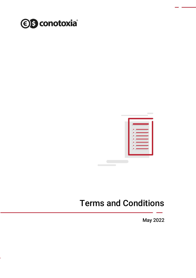



# Terms and Conditions

May 2022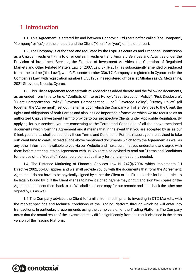### 1. Introduction

1.1. This Agreement is entered by and between Conotoxia Ltd (hereinafter called "the Company", "Company" or "us") on the one part and the Client ("Client" or "you") on the other part.

1.2. The Company is authorized and regulated by the Cyprus Securities and Exchange Commission as a Cyprus Investment Firm to offer certain Investment and Ancillary Services and Activities under the Provision of Investment Services, the Exercise of Investment Activities, the Operation of Regulated Markets and Other Related Matters Law of 2007, Law 87(Ι)/2017, as subsequently amended or replaced from time to time ("the Law"), with CIF license number 336/17. Company is registered in Cyprus under the Companies Law, with registration number HE 351239. Its registered office is at Athalassas 62, Mezzanine, 2021 Strovolos, Nicosia, Cyprus.

1.3. This Client Agreement together with its Appendices added thereto and the following documents, as amended from time to time: "Conflicts of Interest Policy", "Best Execution Policy", "Risk Disclosure", "Client Categorization Policy", "Investor Compensation Fund", "Leverage Policy", "Privacy Policy" (all together, the "Agreement") set out the terms upon which the Company will offer Services to the Client, the rights and obligations of both Parties and also include important information which we are required as an authorized Cyprus Investment Firm to provide to our prospective Clients under Applicable Regulation. By applying for our services, you are consenting to the Terms and Conditions of all the above mentioned documents which form the Agreement and it means that in the event that you are accepted by us as our Client, you and us shall be bound by these Terms and Conditions. For this reason, you are advised to take sufficient time to carefully read all the above mentioned documents which form the Agreement as well as any other information available to you via our Website and make sure that you understand and agree with them before entering into an Agreement with us. You are also advised to read our "Terms and Conditions for the use of the Website". You should contact us if any further clarification is needed.

1.4. The Distance Marketing of Financial Services Law N. 242(I)/2004, which implements EU Directive 2002/65/EC, applies and we shall provide you by with the documents that form the Agreement. Agreement do not have to be physically signed by either the Client or the Firm in order for both parties to be legally bound by it. If the Client wishes to have it signed he/she may print it and sign two copies of the Agreement and sent them back to us. We shall keep one copy for our records and send back the other one signed by us as well.

1.5 The Company advises the Client to familiarize himself, prior to investing in OTC Markets, with the market specifics and technical conditions of the Trading Platform through which he will enter into transactions. In particular, it recommends using the demo version of the Trading Platform. The Company notes that the actual result of the investment may differ significantly from the result obtained in the demo version of the Trading Platform.

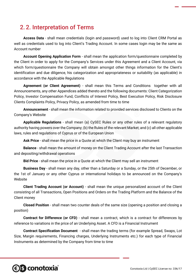# 2. 2. Interpretation of Terms

**Access Data** - shall mean credentials (login and password) used to log into Client CRM Portal as well as credentials used to log into Client's Trading Account. In some cases login may be the same as Account number

**Account Opening Application Form** - shall mean the application form/questionnaire completed by the Client in order to apply for the Company's Services under this Agreement and a Client Account, via which form/questionnaire the Company will obtain amongst other things information for the Client's identification and due diligence, his categorization and appropriateness or suitability (as applicable) in accordance with the Applicable Regulations

**Agreement (or Client Agreement)** - shall mean this Terms and Conditions together with all Announcements, any other Appendices added thereto and the following documents: Client Categorization Policy, Investor Compensation Fund, Conflicts of Interest Policy, Best Execution Policy, Risk Disclosure Clients Complaints Policy, Privacy Policy, as amended from time to time

**Announcement** - shall mean the information related to provided services disclosed to Clients on the Company's Website

**Applicable Regulations** - shall mean (a) CySEC Rules or any other rules of a relevant regulatory authority having powers over the Company; (b) the Rules of the relevant Market; and (c) all other applicable laws, rules and regulations of Cyprus or of the European Union

**Ask Price** - shall mean the price in a Quote at which the Client may buy an instrument

**Balance** - shall mean the amount of money on the Client Trading Account after the last Transaction and depositing/withdrawal operations

**Bid Price** - shall mean the price in a Quote at which the Client may sell an instrument

**Business Day** - shall mean any day, other than a Saturday or a Sunday, or the 25th of December, or the 1st of January or any other Cyprus or international holidays to be announced on the Company's Website

**Client Trading Account (or Account)** - shall mean the unique personalized account of the Client consisting of all Transactions, Open Positions and Orders on the Trading Platform and the Balance of the Client money

**Closed Position** - shall mean two counter deals of the same size (opening a position and closing a position)

**Contract for Difference (or CFD)** - shall mean a contract, which is a contract for differences by reference to variations in the price of an Underlying Asset. A CFD is a Financial Instrument

**Contract Specification Document** - shall mean the trading terms (for example Spread, Swaps, Lot Size, Margin requirements, Financing charges, Underlying Instruments etc.) for each type of Financial Instruments as determined by the Company from time to time

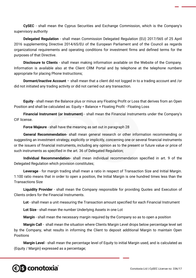**CySEC** - shall mean the Cyprus Securities and Exchange Commission, which is the Company's supervisory authority

**Delegated Regulation** - shall mean Commission Delegated Regulation (EU) 2017/565 of 25 April 2016 supplementing Directive 2014/65/EU of the European Parliament and of the Council as regards organizational requirements and operating conditions for investment firms and defined terms for the purposes of that Directive.

**Disclosure to Clients** - shall mean making information available on the Website of the Company. Information is available also at the Client CRM Portal and by telephone at the telephone numbers appropriate for placing Phone Instructions;

**Dormant/Inactive Account** – shall mean that a client did not logged in to a trading account and /or did not initiated any trading activity or did not carried out any transaction.

**Equity** - shall mean the Balance plus or minus any Floating Profit or Loss that derives from an Open Position and shall be calculated as: Equity = Balance + Floating Profit - Floating Loss

**Financial Instrument (or Instrument)** - shall mean the Financial Instruments under the Company's CIF license.

**Force Majeure** - shall have the meaning as set out in paragraph 28

**General Recommendation**- shall mean general research or other information recommending or suggesting an investment strategy, explicitly or implicitly, concerning one or several financial instruments or the issuers of financial instruments, including any opinion as to the present or future value or price of such instruments as specified in the art. 36 of Delegated Regulation;

**Individual Recommendation-** shall mean individual recommendation specified in art. 9 of the Delegated Regulation which provision constitutes;

**Leverage** - for margin trading shall mean a ratio in respect of Transaction Size and Initial Margin. 1:100 ratio means that in order to open a position, the Initial Margin is one hundred times less than the Transactions Size

**Liquidity Provider** - shall mean the Company responsible for providing Quotes and Execution of Clients orders for the Financial Instruments.

**Lot** - shall mean a unit measuring the Transaction amount specified for each Financial Instrument

**Lot Size** - shall mean the number Underlying Assets in one Lot

**Margin** - shall mean the necessary margin required by the Company so as to open a position

**Margin Call** - shall mean the situation where Clients Margin Level drops below percentage level set by the Company, what results in informing the Client to deposit additional Margin to maintain Open **Positions** 

**Margin Level** - shall mean the percentage level of Equity to initial Margin used, and is calculated as (Equity / Margin) expressed as a percentage;

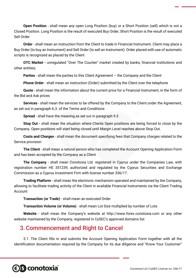**Open Position** - shall mean any open Long Position (buy) or a Short Position (sell) which is not a Closed Position. Long Position is the result of executed Buy Order, Short Position is the result of executed Sell Order

**Order** - shall mean an instruction from the Client to trade in Financial Instrument. Client may place a Buy Order (to buy an Instrument) and Sell Order (to sell an Instrument). Order placed with use of automatic scripts is recognized as placed by the Client

**OTC Market -** unregulated "Over The Counter" market created by banks, financial institutions and other entities;

**Parties** - shall mean the parties to this Client Agreement – the Company and the Client

**Phone Order** - shall mean an instruction (Order) submitted by the Client over the telephone

**Quote** - shall mean the information about the current price for a Financial Instrument, in the form of the Bid and Ask prices

**Services** - shall mean the services to be offered by the Company to the Client under the Agreement, as set out in paragraph 6.3. of the Terms and Conditions

**Spread** - shall have the meaning as set out in paragraph 9.3

**Stop Out -** shall mean the situation where Clients Open positions are being forced to close by the Company. Open positions will start being closed until Margin Level reaches above Stop Out.

**Costs and Charges** - shall mean the document specifying fees that Company charges related to the Service provision

**The Client** - shall mean a natural person who has completed the Account Opening Application Form and has been accepted by the Company as a Client

**The Company** - shall mean Conotoxia Ltd. registered in Cyprus under the Companies Law, with registration number HE 351239, authorized and regulated by the Cyprus Securities and Exchange Commission as a Cyprus Investment Firm with license number 336/17.

**Trading Platform** - shall mean the electronic mechanism operated and maintained by the Company, allowing to facilitate trading activity of the Client in available Financial Instruments via the Client Trading Account

**Transaction (or Trade)** - shall mean an executed Order

**Transaction Volume (or Volume)** - shall mean Lot Size multiplied by number of Lots

**Website** - shall mean the Company's website at http://www.forex.conotoxia.com or any other website maintained by the Company, registered in CySEC's approved domains list

#### 3.Commencement and Right to Cancel

3.1. The Client fills in and submits the Account Opening Application Form together with all the identification documentation required by the Company for its due diligence and "Know Your Customer"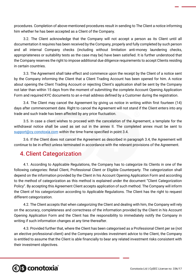procedures. Completion of above-mentioned procedures result in sending to The Client a notice informing him whether he has been accepted as a Client of the Company.

3.2. The Client acknowledge that the Company will not accept a person as its Client until all documentation it requires has been received by the Company, properly and fully completed by such person and all internal Company checks (including without limitation anti-money laundering checks, appropriateness or suitability tests as the case may be) have been satisfied. It is further understood that the Company reserves the right to impose additional due diligence requirements to accept Clients residing in certain countries.

3.3. The Agreement shall take effect and commence upon the receipt by the Client of a notice sent by the Company informing the Client that a Client Trading Account has been opened for him. A notice about opening the Client Trading Account or rejecting Client's application shall be sent by the Company not later than within 15 days from the moment of submitting the complete Account Opening Application Form and required KYC documents to an e-mail address defined by a Customer during the registration.

3.4. The Client may cancel the Agreement by giving us notice in writing within first fourteen (14) days after commencement date. Right to cancel the Agreement will not stand if the Client enters into any trade and such trade has been affected by any price fluctuation.

3.5. In case a client wishes to proceed with the cancelation of the Agreement, a template for the withdrawal notice shall be used as set out in the annex II. The completed annex must be sent to [support@cy.conotoxia.com](mailto:support@cy.conotoxia.com) within the time frame specified in point 3.4.

3.6. If the Client does not cancel the Agreement as described in paragraph 3.4, the Agreement will continue to be in effect unless terminated in accordance with the relevant provisions of the Agreement.

#### 4.Client Categorization

4.1. According to Applicable Regulations, the Company has to categorize its Clients in one of the following categories: Retail Client, Professional Client or Eligible Counterparty. The categorization shall depend on the information provided by the Client in his Account Opening Application Form and according to the method of categorization as this method is explained under the document "Client Categorization Policy". By accepting this Agreement Client accepts application of such method. The Company will inform the Client of his categorization according to Applicable Regulations. The Client has the right to request different categorization.

4.2. The Client accepts that when categorizing the Client and dealing with him, the Company will rely on the accuracy, completeness and correctness of the information provided by the Client in his Account Opening Application Form and the Client has the responsibility to immediately notify the Company in writing if such information changes at any time thereafter.

4.3. Provided further that, where the Client has been categorised as a Professional Client per se (not an elective professional client) and the Company provides investment advice to the Client, the Company is entitled to assume that the Client is able financially to bear any related investment risks consistent with their investment objectives.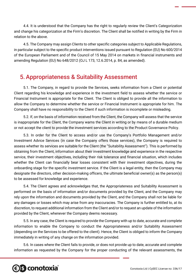4.4. It is understood that the Company has the right to regularly review the Client's Categorization and change his categorization at the Firm's discretion. The Client shall be notified in writing by the Firm in relation to the above.

4.5. The Company may assign Clients to other specific categories subject to Applicable Regulations, in particular subject to the specific product interventions issued pursuant to Regulation (EU) No 600/2014 of the European Parliament and of the Council of 15 May 2014 on markets in financial instruments and amending Regulation (EU) No 648/2012 (OJ L 173, 12.6.2014, p. 84, as amended).

### 5.Appropriateness & Suitability Assessment

5.1. The Company, in regard to provide the Services, seeks information from a Client or potential Client regarding his knowledge and experience in the investment field to assess whether the service or Financial Instrument is appropriate for the Client. The Client is obliged to provide all the information to allow the Company to determine whether the service or Financial Instrument is appropriate for him. The Company shall have no responsibility to the Client if such information is incomplete or misleading.

5.2. If, on the basis of information received from the Client, the Company will assess that the service is inappropriate for the Client, the Company warns the Client in writing or by means of a durable medium or not accept the client to provide the investment services according to the Product Governance Policy.

5.3. In order for the Client to access and/or use the Company's Portfolio Management and/or Investment Advice Services (in case the Company offers those services), the Company is required to assess whether its services are suitable for the Client (the ''Suitability Assessment''). This is performed by obtaining from the Client, information about their investment knowledge and experience in the respective service, their investment objectives, including their risk tolerance and financial situation, which includes whether the Client can financially bear losses consistent with their investment objectives, during the onboarding stage for the specific investment service. If the Client is a legal entity, then the Company may designate the directors, other decision-making officers, the ultimate beneficial owner(s) as the person(s) to be assessed for knowledge and experience.

5.4. The Client agrees and acknowledges that, the Appropriateness and Suitability Assessment is performed on the basis of information and/or documents provided by the Client, and the Company may rely upon the information and documents provided by the Client, and the Company shall not be liable for any damages or losses which may arise from any inaccuracies. The Company is further entitled to, at its discretion, to request additional information from the Client and/or to request an update of the information provided by the Client, whenever the Company deems necessary.

5.5. In any case, the Client is required to provide the Company with up to date, accurate and complete information to enable the Company to conduct the Appropriateness and/or Suitability Assessment (depending on the Services to be offered to the client). Hence, the Client is obliged to inform the Company immediately in writing of any change on the information provided.

5.6. In cases where the Client fails to provide, or does not provide up to date, accurate and complete information as requested by the Company for the proper conducting of the relevant assessments, the

# **€ S** conotoxia®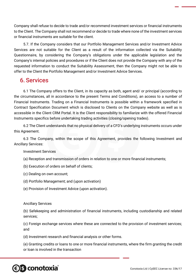Company shall refuse to decide to trade and/or recommend investment services or financial instruments to the Client. The Company shall not recommend or decide to trade where none of the investment services or financial instruments are suitable for the client.

5.7. If the Company considers that our Portfolio Management Services and/or Investment Advice Services are not suitable for the Client as a result of the information collected via the Suitability Questionnaire, by considering the Company's obligations under the applicable legislation and the Company's internal policies and procedures or if the Client does not provide the Company with any of the requested information to conduct the Suitability Assessment, then the Company might not be able to offer to the Client the Portfolio Management and/or Investment Advice Services.

### 6. Services

6.1 The Company offers to the Client, in its capacity as both, agent and/ or principal (according to the circumstances, all in accordance to the present Terms and Conditions), an access to a number of Financial Instruments. Trading on a Financial Instruments is possible within a framework specified in Contract Specification Document which is disclosed to Clients on the Company website as well as is accessible in the Client CRM Portal. It is the Client responsibility to familiarize with the offered Financial Instruments specifics before undertaking trading activities (closing/opening trades).

6.2 The Client understands that no physical delivery of a CFD's underlying instruments occurs under this Agreement.

6.3 The Company, within the scope of this Agreement, provides the following Investment and Ancillary Services:

#### Investment Services

- (a) Reception and transmission of orders in relation to one or more financial instruments;
- (b) Execution of orders on behalf of clients;
- (c) Dealing on own account;
- (d) Portfolio Management; and (upon activation)
- (e) Provision of Investment Advice (upon activation).

#### Ancillary Services

(b) Safekeeping and administration of financial instruments, including custodianship and related services;

(c) Foreign exchange services where these are connected to the provision of investment services; and

(d) Investment research and financial analysis or other forms.

(e) Granting credits or loans to one or more financial instruments, where the firm granting the credit or loan is involved in the transaction

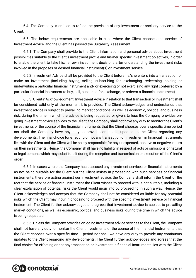6.4. The Company is entitled to refuse the provision of any investment or ancillary service to the Client.

6.5. The below requirements are applicable in case where the Client chooses the service of Investment Advice, and the Client has passed the Suitability Assessment.

6.5.1. The Company shall provide to the Client information and personal advice about investment possibilities suitable to the client's investment profile and his/her specific investment objectives, in order to enable the client to take his/her own investment decisions after understanding the investment risks involved in the proposes or desired financial instrument(s) or investment service.

6.5.2. Investment Advice shall be provided to the Client before he/she enters into a transaction or make an investment (including buying, selling, subscribing for, exchanging, redeeming, holding or underwriting a particular financial instrument and/ or exercising or not exercising any right conferred by a particular financial instrument to buy, sell, subscribe for, exchange, or redeem a financial instrument).

6.5.3. Clients' Acknowledgment: Investment Advice in relation to that transaction or investment shall be considered valid only at the moment it is provided. The Client acknowledges and understands that investment advice is subject to prevailing market conditions, as well as economic, political and business risk, during the time in which the advice is being requested or given. Unless the Company provides ongoing investment advice services to the Client, the Company shall not have any duty to monitor the Client's investments or the course of the financial instruments that the Client chooses over a specific time period nor shall the Company have any duty to provide continuous updates to the Client regarding any developments. The final choice for effecting or not any transaction or investment in financial instruments lies with the Client and the Client will be solely responsible for any unexpected, positive or negative, return on their investments. Hence, the Company shall have no liability in respect of acts or omissions of natural or legal persons which may substitute it during the reception and transmission or execution of the Client's order.

6.5.4. In cases where the Company has assessed any investment services or financial instruments as not being suitable for the Client but the Client insists in proceeding with such services or financial instruments, therefore acting against our investment advice, the Company shall inform the Client of the fact that the service or financial instrument the Client wishes to proceed with is not suitable, including a clear explanation of potential risks the Client would incur into by proceeding in such a way. Hence, the Client acknowledges and accepts that the Company shall not be considered as liable for any potential risks which the Client may incur in choosing to proceed with the specific investment service or financial instrument. The Client further acknowledges and agrees that investment advice is subject to prevailing market conditions, as well as economic, political and business risks, during the time in which the advice is being requested.

6.5.5. Unless the Company provides on-going investment advice services to the Client, the Company shall not have any duty to monitor the Client investments or the course of the financial instruments that the Client chooses over a specific time – period nor shall we have any duty to provide any continuous updates to the Client regarding any developments. The Client further acknowledges and agrees that the final choice for effecting or not any transaction or investment in financial instruments lies with the Client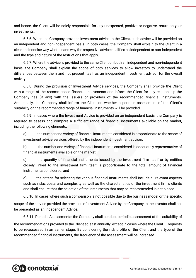and hence, the Client will be solely responsible for any unexpected, positive or negative, return on your investments.

6.5.6. When the Company provides investment advice to the Client, such advice will be provided on an independent and non-independent basis. In both cases, the Company shall explain to the Client in a clear and concise way whether and why the respective advice qualifies as independent or non-independent and the type and nature of the restrictions that apply.

6.5.7. Where the advice is provided to the same Client on both an independent and non-independent basis, the Company shall explain the scope of both services to allow investors to understand the differences between them and not present itself as an independent investment advisor for the overall activity.

6.5.8. During the provision of Investment Advice services, the Company shall provide the Client with a range of the recommended financial instruments and inform the Client for any relationship the Company has (if any) with the issuers or providers of the recommended financial instruments. Additionally, the Company shall inform the Client on whether a periodic assessment of the Client's suitability on the recommended range of financial instruments will be provided.

6.5.9. In cases where the Investment Advice is provided on an independent basis, the Company is required to assess and compare a sufficient range of financial instruments available on the market, including the following elements:

a) the number and variety of financial instruments considered is proportionate to the scope of investment advice services offered by the independent investment adviser;

b) the number and variety of financial instruments considered is adequately representative of financial instruments available on the market;

c) the quantity of financial instruments issued by the investment firm itself or by entities closely linked to the investment firm itself is proportionate to the total amount of financial instruments considered; and

d) the criteria for selecting the various financial instruments shall include all relevant aspects such as risks, costs and complexity as well as the characteristics of the investment firm's clients and shall ensure that the selection of the instruments that may be recommended is not biased.

6.5.10. In cases where such a comparison is not possible due to the business model or the specific

scope of the service provided the provision of Investment Advice by the Company to the investor shall not be presented as an Independent Advice.

6.5.11. Periodic Assessments: the Company shall conduct periodic assessment of the suitability of

the recommendations provided to the Client at least annually, except in cases where the Client requests to be re-assessed in an earlier stage. By considering the risk profile of the Client and the type of the recommended financial instruments, the frequency of the assessment will be increased.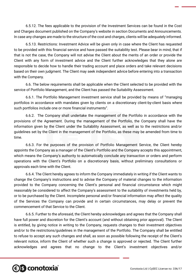6.5.12. The fees applicable to the provision of the Investment Services can be found in the Cost and Charges document published on the Company's website in section Documents and Announcements. In case any changes are made to the structure of the cost and charges, clients will be adequately informed.

6.5.13. Restrictions: Investment Advice will be given only in case where the Client has requested to be provided with this financial service and have passed the suitability test. Please bear in mind, that if that is not the case, the Company will not advise the Client about the merits of an order or provide the Client with any form of investment advice and the Client further acknowledges that they alone are responsible to decide how to handle their trading account and place orders and take relevant decisions based on their own judgment. The Client may seek independent advice before entering into a transaction with the Company.

6.6. The below requirements shall be applicable when the Client selected to be provided with the service of Portfolio Management, and the Client has passed the Suitability Assessment.

6.6.1. The Portfolio Management investment service shall be provided by means of "managing portfolios in accordance with mandates given by clients on a discretionary client-by-client basis where such portfolios include one or more financial instruments".

6.6.2. The Company shall undertake the management of the Portfolio in accordance with the provisions of the Agreement. During the management of the Portfolio, the Company shall have the information given by the Client under the Suitability Assessment, as well as to the restrictions and/or guidelines set by the Client in the management of the Portfolio, as these may be amended from time to time.

6.6.3. For the purposes of the provision of Portfolio Management Service, the Client hereby appoints the Company as a manager of the Client's Portfolio and the Company accepts this appointment, which means the Company's authority to automatically conclude any transaction or orders and perform operations with the Client's Portfolio on a discretionary basis, without preliminary consultations or approvals each time with the Client.

6.6.4. The Client hereby agrees to inform the Company immediately in writing if the Client wants to change the Company's instructions and to advise the Company of material changes to the information provided to the Company concerning the Client's personal and financial circumstance which might reasonably be considered to affect the Company's assessment to the suitability of investments held by, or to be purchased by the Client. Incomplete personal and/or financial information may affect the quality of the Services the Company can provide and in certain circumstances, may delay or prevent the commencement of that Service to the Client.

6.6.5. Further to the aforesaid, the Client hereby acknowledges and agrees that the Company shall have full power and discretion for the Client's account (and without obtaining prior approval). The Client is entitled, by giving notice in writing to the Company, requests changes to their investment objectives and/or to the restrictions/guidelines in the management of the Portfolio. The Company shall be entitled to refuse to accept any such changes and shall, as soon as possible following the receipt of the Client's relevant notice, inform the Client of whether such a change is approved or rejected. The Client further acknowledges and agrees that no change to the Client's investment objectives and/or

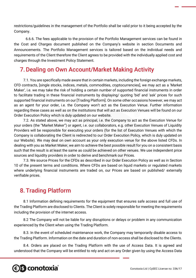restrictions/guidelines in the management of the Portfolio shall be valid prior to it being accepted by the Company.

6.6.6. The fees applicable to the provision of the Portfolio Management services can be found in the Cost and Charges document published on the Company's website in section Documents and Announcements. The Portfolio Management services is tailored based on the individual needs and requirements of the Client therefore the Client agrees to be provided with the individually applied cost and charges through the Investment Policy Statement.

## 7.Dealing on Own Account/Market Making Activity

7.1. You are specifically made aware that in certain markets, including the foreign exchange markets, CFD contracts, [single stocks, indices, metals, commodities, cryptocurrencies], we may act as a 'Market Maker', i.e. we may take the risk of holding a certain number of supported financial instruments in order to facilitate trading in these financial instruments by displaying/ quoting 'bid' and 'ask' prices for such supported financial instruments on our [Trading Platform]. On some other occasions however, we may act as an agent for your order, i.e. the Company won't act as the Execution Venue. Further information regarding these cases as well as on the institutions that will act as Execution Venues will be found on our Order Execution Policy which is duly updated on our website.

7.2. As stated above, we may act as principal, i.e. the Company to act as the Execution Venue for your orders (the "Market Maker") or agent, i.e. our collaborators, e.g. other Execution Venues of Liquidity Providers will be responsible for executing your orders (for the list of Execution Venues with which the Company is collaborating the Client is redirected to our Order Execution Policy, which is duly updated on our Website). We may deal on own account as your only execution venue for the above listed CFDs. In dealing with you as Market Maker, we aim to achieve the best possible result for you on a consistent basis such that the result is at least the same as could be achieved on other venues. We use independent price sources and liquidity providers in order to derive and benchmark our Prices.

7.3. We source Prices for the CFDs as described in our Order Execution Policy as well as in Section 10 of the present terms and conditions. Where CFDs are based on liquid markets or regulated markets where underlying financial instruments are traded on, our Prices are based on published/ externally verifiable prices.

# 8. Trading Platform

8.1 Information defining requirements for the equipment that ensures safe access and full use of the Trading Platform are disclosed to Clients. The Client is solely responsible for meeting the requirements including the provision of the internet access.

8.2 The Company will not be liable for any disruptions or delays or problem in any communication experienced by the Client when using the Trading Platform.

8.3. In the event of scheduled maintenance work, the Company may temporarily disable access to the Trading Platform. Information on the date and duration of non-access shall be disclosed to the Clients.

8.4. Orders are placed on the Trading Platform with the use of Access Data. It is agreed and understood that the Company will be entitled to rely and act on any Order given by using the Access Data

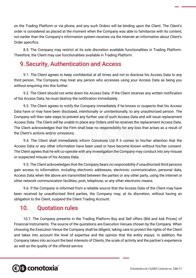on the Trading Platform or via phone, and any such Orders will be binding upon the Client. The Client's order is considered as placed at the moment when the Company was able to familiarize with its content, not earlier than the Company's information system receives via the Internet an information about Client's Order specifics.

8.5. The Company may restrict at its sole discretion available functionalities in Trading Platform. Therefore, the Client may use functionalities available in Trading Platform.

# 9. Security, Authentication and Access

9.1. The Client agrees to keep confidential at all times and not to disclose his Access Data to any third person. The Company may treat any person who accesses using your Access Data as being you without enquiring into this further.

9.2. The Client should not write down his Access Data. If the Client receives any written notification of his Access Data, he must destroy the notification immediately.

9.3. The Client agrees to notify the Company immediately if he knows or suspects that his Access Data have or may have been disclosed, intentionally or unintentionally, to any unauthorized person. The Company will then take steps to prevent any further use of such Access Data and will issue replacement Access Data. The Client will be unable to place any Orders until he receives the replacement Access Data. The Client acknowledges that the Firm shall bear no responsibility for any loss that arises as a result of the Client's actions and/or omissions.

9.4. The Client shall immediately inform Conotoxia Ltd if it comes to his/her attention that the Access Data or any other information have been used or have become known without his/her consent. The Client agrees that he will co-operate with any investigation the Company may conduct into any misuse or suspected misuse of his Access Data.

9.5. The Client acknowledges that the Company bears no responsibility if unauthorized third persons gain access to information, including electronic addresses, electronic communication, personal data, Access Data when the above are transmitted between the parties or any other party, using the internet or other network communication facilities, post, telephone, or any other electronic means.

9.6. If the Company is informed from a reliable source that the Access Data of the Client may have been received by unauthorized third parties, the Company may, at its discretion, without having an obligation to the Client, suspend the Client Trading Account.

### 10. Quotation rules

*<b>€S* conotoxia®

10.1. The Company presents in the Trading Platform Buy and Sell offers (Bid and Ask Prices) of Financial Instruments. The source of the quotations are Execution Venues chosen by the Company. When choosing the Execution Venue the Company shall be diligent, taking care to protect the rights of the Client and takes into account the level of expertise and the opinion that the entity enjoys. In addition, the Company takes into account the best interests of Clients, the scale of activity and the partner's experience as well as the quality of the offered service.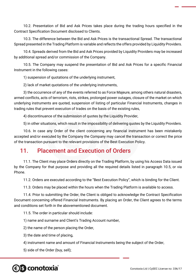10.2. Presentation of Bid and Ask Prices takes place during the trading hours specified in the Contract Specification Document disclosed to Clients.

10.3. The difference between the Bid and Ask Prices is the transactional Spread. The transactional Spread presented in the Trading Platform is variable and reflects the offers provided by Liquidity Providers.

10.4. Spreads derived from the Bid and Ask Prices provided by Liquidity Providers may be increased by additional spread and/or commission of the Company.

10.5. The Company may suspend the presentation of Bid and Ask Prices for a specific Financial Instrument in the following cases:

1) suspension of quotations of the underlying instrument,

2) lack of market quotations of the underlying instruments,

3) the occurrence of any of the events referred to as Force Majeure, among others natural disasters, armed conflicts, acts of terrorism, riots, strikes, prolonged power outages, closure of the market on which underlying instruments are quoted, suspension of listing of particular Financial Instruments, changes in trading rules that prevent execution of trades on the basis of the existing rules,

4) discontinuance of the submission of quotes by the Liquidity Provider,

5) in other situations, which result in the impossibility of delivering quotes by the Liquidity Providers.

10.6. In case any Order of the client concerning any financial instrument has been mistakenly accepted and/or executed by the Company the Company may cancel the transaction or correct the price of the transaction pursuant to the relevant provisions of the Best Execution Policy.

#### 11. Placement and Execution of Orders

11.1. The Client may place Orders directly on the Trading Platform, by using his Access Data issued by the Company for that purpose and providing all the required details listed in paragraph 10.5, or via Phone.

11.2. Orders are executed according to the "Best Execution Policy", which is binding for the Client.

11.3. Orders may be placed within the hours when the Trading Platform is available to access.

11.4. Prior to submitting the Order, the Client is obliged to acknowledge the Contract Specification Document concerning offered Financial Instruments. By placing an Order, the Client agrees to the terms and conditions set forth in the abovementioned document.

11.5. The order in particular should include:

1) name and surname and Client's Trading Account number,

2) the name of the person placing the Order,

3) the date and time of placing,

4) instrument name and amount of Financial Instruments being the subject of the Order,

5) side of the Order (buy, sell);

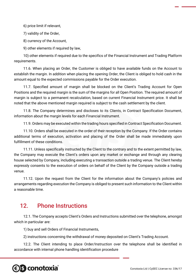6) price limit if relevant,

7) validity of the Order,

8) currency of the Account,

9) other elements if required by law,

10) other elements if required due to the specifics of the Financial Instrument and Trading Platform requirements.

11.6. When placing an Order, the Customer is obliged to have available funds on the Account to establish the margin. In addition when placing the opening Order, the Client is obliged to hold cash in the amount equal to the expected commissions payable for the Order execution.

11.7. Specified amount of margin shall be blocked on the Client's Trading Account for Open Positions and the required margin is the sum of the margins for all Open Position. The required amount of margin is subject to a permanent recalculation, based on current Financial Instrument price. It shall be noted that the above mentioned margin required is subject to the cash settlement by the client.

11.8. The Company determines and discloses to its Clients, in Contract Specification Document, information about the margin levels for each Financial Instrument.

11.9. Orders may be executed within the trading hours specified in Contract Specification Document.

11.10. Orders shall be executed in the order of their reception by the Company. If the Order contains additional terms of execution, activation and placing of the Order shall be made immediately upon fulfillment of these conditions.

11.11. Unless specifically instructed by the Client to the contrary and to the extent permitted by law, the Company may execute the Client's orders upon any market or exchange and through any clearing house selected by Company, including executing a transaction outside a trading venue. The Client hereby expressly consents to the execution of orders on behalf of the Client by the Company outside a trading venue.

11.12. Upon the request from the Client for the information about the Company's policies and arrangements regarding execution the Company is obliged to present such information to the Client within a reasonable time.

#### 12. Phone Instructions

12.1. The Company accepts Client's Orders and Instructions submitted over the telephone, amongst which in particular are:

1) buy and sell Orders of Financial Instruments,

2) instructions concerning the withdrawal of money deposited on Client's Trading Account.

12.2. The Client intending to place Order/Instruction over the telephone shall be identified in accordance with internal phone handling identification procedure

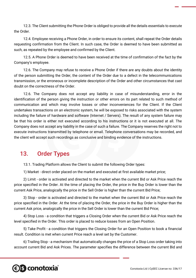12.3. The Client submitting the Phone Order is obliged to provide all the details essentials to execute the Order.

12.4. Employee receiving a Phone Order, in order to ensure its content, shall repeat the Order details requesting confirmation from the Client. In such case, the Order is deemed to have been submitted as such, as repeated by the employee and confirmed by the Client.

12.5. A Phone Order is deemed to have been received at the time of confirmation of the fact by the Company's employee.

12.6. The Company may refuse to receive a Phone Order if there are any doubts about the identity of the person submitting the Order, the content of the Order due to a defect in the telecommunications transmission, or the erroneous or incomplete description of the Order and other circumstances that cast doubt on the correctness of the Order.

12.6. The Company does not accept any liability in case of misunderstanding, error in the identification of the person giving the instruction or other errors on its part related to such method of communication and which may involve losses or other inconveniences for the Client. If the Client undertakes transactions on an electronic system, he will be exposed to risks associated with the system including the failure of hardware and software (Internet / Servers). The result of any system failure may be that his order is either not executed according to his instructions or it is not executed at all. The Company does not accept any liability in the case of such a failure. The Company reserves the right not to execute instructions transmitted by telephone or email. Telephone conversations may be recorded, and the client will accept such recordings as conclusive and binding evidence of the instructions.

#### 13. Order Types

13.1. Trading Platform allows the Client to submit the following Order types:

1) Market - direct order placed on the market and executed at first available market price;

2) Limit - order is activated and directed to the market when the current Bid or Ask Price reach the price specified in the Order. At the time of placing the Order, the price in the Buy Order is lower than the current Ask Price, analogically the price in the Sell Order is higher than the current Bid Price;

3) Stop - order is activated and directed to the market when the current Bid or Ask Price reach the price specified in the Order. At the time of placing the Order, the price in the Buy Order is higher than the current Ask price, analogically the price in the Sell Order is lower than the current Bid Price;

4) Stop Loss - a condition that triggers a Closing Order when the current Bid or Ask Price reach the level specified in the Order. This order is placed to reduce losses from an Open Position.

5) Take Profit - a condition that triggers the Closing Order for an Open Position to book a financial result. Condition is met when current Price reach a level set by the Customer.

6) Trailing Stop - a mechanism that automatically changes the price of a Stop Loss order taking into account current Bid and Ask Prices. The parameter specifies the difference between the current Bid and

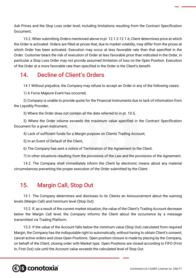Ask Prices and the Stop Loss order level, including limitations resulting from the Contract Specification Document;

13.2. When submitting Orders mentioned above in pt. 12.1.2-12.1.6, Client determines price at which the Order is activated. Orders are filled at prices that, due to market volatility, may differ from the prices at which Order has been activated. Execution may occur at less favorable rate than that specified in the Order. Customer bears the risk of execution of Order at less favorable price than indicated in the Order, in particular a Stop Loss Order may not provide assumed limitation of loss on the Open Position. Execution of the Order at a more favorable rate than specified in the Order is the Client's benefit.

## 14. Decline of Client's Orders

14.1 Without prejudice, the Company may refuse to accept an Order in any of the following cases:

1) A Force Majeure Event has occurred,

2) Company is unable to provide quote for the Financial Instruments due to lack of information from the Liquidity Provider,

3) Where the Order does not contain all the data referred to in pt. 10.5,

3) Where the Order volume exceeds the maximum value specified in the Contract Specification Document for a given instrument,

4) Lack of sufficient funds for a Margin purpose on Clients Trading Account,

5) In an Event of Default of the Client,

6) The Company has sent a notice of Termination of the Agreement to the Client.

7) In other situations resulting from the provisions of the Law and the provisions of the Agreement.

14.2. The Company shall immediately inform the Client by electronic means about any material circumstances preventing the proper execution of the Order submitted by the Client.

### 15. Margin Call, Stop Out

15.1. The Company determines and discloses to its Clients an Announcement about the warning levels (Margin Call) and minimum level (Stop Out).

15.2. If, as a result of the current market situation, the value of the Client's Trading Account decrease below the Margin Call level, the Company informs the Client about the occurrence by a message transmitted via Trading Platform.

15.3. If the value of the Account falls below the minimum value (Stop Out) calculated from required Margin, the Company has the indisputable right to automatically, without having to obtain Client's consent, cancel active orders and close Open Positions. Open position closure is made by placing by the Company, on behalf of the Client, closing order with Market type. Open Positions are closed according to FIFO (First In, First Out) rule until the Account value exceeds the calculated level of Stop Out.

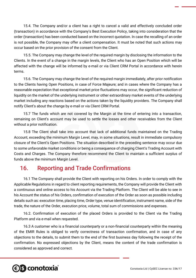15.4. The Company and/or a client has a right to cancel a valid and effectively concluded order (transaction) in accordance with the Company's Best Execution Policy, taking into consideration that the order (transaction) has been conducted based on the incorrect quotation. In case the recalling of an order is not possible, the Company may offer a client compensation. It must be noted that such actions may occur based on the prior provision of the consent from the Client.

15.5. The Company may change the level of the required margin by disclosing the information to the Clients. In the event of a change in the margin levels, the Client who has an Open Position which will be affected with the change will be informed by e-mail or via Client CRM Portal in accordance with herein terms.

15.6. The Company may change the level of the required margin immediately, after prior notification to the Clients having Open Positions, in case of Force Majeure; and in cases where the Company has a reasonable expectation that exceptional market price fluctuations may occur, the significant reduction of liquidity on the market of the underlying instrument or other extraordinary market events of the underlying market including any reactions based on the actions taken by the liquidity providers. The Company shall notify Client's about the change by e-mail or via Client CRM Portal.

15.7 The funds which are not covered by the Margin at the time of entering into a transaction, remaining on Client's account may be used to settle the losses and other receivables from the Client without a prior notification.

15.8 The Client shall take into account that lack of additional funds maintained on the Trading Account, exceeding the minimum Margin Level, may, in some situations, result in immediate compulsory closure of the Client's Open Positions. The situation described in the preceding sentence may occur due to some unfavorable market conditions or being a consequence of charging Client's Trading Account with Costs and Charges. The Company therefore recommend the Client to maintain a sufficient surplus of funds above the minimum Margin Level.

# 16. Reporting and Trade Confirmations

16.1 The Company shall provide the Client with reporting on his Orders. In order to comply with the Applicable Regulations in regard to client reporting requirements, the Company will provide the Client with a continuous and online access to his Account via the Trading Platform. The Client will be able to see in his Account the status of his Orders, confirmation of execution of the Order as soon as possible including details such as: execution time, placing time, Order type, venue identification, instrument name, side of the trade, the nature of the Order, execution price, volume, total sum of commissions and expenses.

16.2. Confirmation of execution of the placed Orders is provided to the Client via the Trading Platform and via e-mail when requested.

16.3 A customer who is a financial counterparty or a non-financial counterparty within the meaning of the EMIR Rules is obliged to verify correctness of transaction confirmation, and in case of any objections to the details, to submit them to the end of the first business day following the receipt of the confirmation. No expressed objections by the Client, means the content of the trade confirmation is considered as approved and correct.

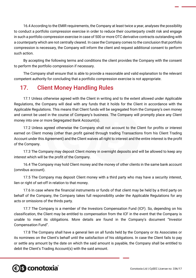16.4 According to the EMIR requirements, the Company at least twice a year, analyses the possibility to conduct a portfolio compression exercise in order to reduce their counterparty credit risk and engage in such a portfolio compression exercise in case of 500 or more OTC derivative contracts outstanding with a counterparty which are not centrally cleared. In case the Company comes to the conclusion that portfolio compression is necessary, the Company will inform the client and request additional consent to perform such action.

By accepting the following terms and conditions the client provides the Company with the consent to perform the portfolio compression if necessary.

The Company shall ensure that is able to provide a reasonable and valid explanation to the relevant competent authority for concluding that a portfolio compression exercise is not appropriate.

## 17. Client Money Handling Rules

17.1 Unless otherwise agreed with the Client in writing and to the extent allowed under Applicable Regulations, the Company will deal with any funds that it holds for the Client in accordance with the Applicable Regulations. This means that Client funds will be segregated from the Company's own money and cannot be used in the course of Company's business. The Company will promptly place any Client money into one or more Segregated Bank Account(s).

17.2 Unless agreed otherwise the Company shall not account to the Client for profits or interest earned on Client money (other than profit gained through trading Transactions from his Client Trading Account under this Agreement) and the Client waives all right to interest and the entire interest is the profit of the Company.

17.3 The Company may deposit Client money in overnight deposits and will be allowed to keep any interest which will be the profit of the Company.

16.4 The Company may hold Client money and the money of other clients in the same bank account (omnibus account).

17.5 The Company may deposit Client money with a third party who may have a security interest, lien or right of set-off in relation to that money.

17.6 In case where the financial instruments or funds of that client may be held by a third party on behalf of the Company, the Company takes full responsibility under the Applicable Regulations for any acts or omissions of the thirds party.

17.7 The Company is a member of the Investors Compensation Fund (ICF). So, depending on his classification, the Client may be entitled to compensation from the ICF in the event that the Company is unable to meet its obligations. More details are found in the Company's document "Investor Compensation Fund".

17.8 The Company shall have a general lien on all funds held by the Company or its Associates or its nominees on the Client's behalf until the satisfaction of his obligations. In case the Client fails to pay or settle any amount by the date on which the said amount is payable, the Company shall be entitled to debit the Client's Trading Account(s) with the said amount.

# **€ S** conotoxia®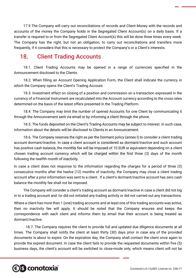17.9 The Company will carry out reconciliations of records and Client Money with the records and accounts of the money the Company holds in the Segregated Client Account(s) on a daily basis. If a transfer is required to or from the Segregated Client Account(s) this will be done three times every week. The Company has the right, but not an obligation, to carry out reconciliations and transfers more frequently, if it considers that this is necessary to protect the Company's or a Client's interests.

### 18. Client Trading Accounts

18.1. Client Trading Accounts may be opened in a range of currencies specified in the Announcement disclosed to the Clients.

18.2. When filling an Account Opening Application Form, the Client shall indicate the currency in which the Company opens the Client's Trading Account.

18.3. Investment effect on closing of a position and commission on a transaction expressed in the currency of a Financial Instrument are recalculated into the Account currency according to the cross rates determined on the basis of the latest offers presented in the Trading Platform.

18.4. The Company may limit the number of opened Accounts for one Client by communicating it through the Announcement sent via email or by informing a client through the phone.

18.5. The funds deposited on the Client's Trading Accounts may be subject to interest. In such case, information about the details will be disclosed to Clients in an Announcement.

18.6. The Company reserves the right as per the Dormant policy (annex I) to consider a client trading account dormant/inactive. In case a client account is considered as dormant/inactive and such account has positive cash balance, the monthly fee will be imposed of 10 EUR or equivalent depending on a client chosen trading account currency which will be charged within the first three (3) days of the month following the twelfth month of inactivity.

In case a client does not response to the information regarding the charges for a period of three (3) consecutive months after the twelve (12) months of inactivity, the Company may close a client trading account after a prior information was sent to a client. If a client's dormant/inactive account has zero cash balance the monthly fee shall not be imposed.

The Company will consider a client's trading account as dormant/inactive in case a client did not log in to a trading account and /or did not initiated any trading activity or did not carried out any transactions.

Where a client has more than 1 (one) trading accounts and at least one of this trading accounts was active, then no inactivity fee will apply. It should be noted that the Company ensures and keeps the correspondence with each client and informs them by email that their account is being treated as dormant/inactive.

18.7. The Company requires the client to provide full and updated due diligence documents at all times. The Company shall notify the client at least thirty (30) days prior in case any of the provided documents is about to expire. On the expiration day, the Company shall contact the client once again to provide the expired document. In case the client fails to provide the requested documents within five (5) business days, the client's account will be switched to close-mode only, which means client will not be

# *<b>€S* conotoxia®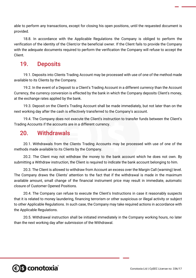able to perform any transactions, except for closing his open positions, until the requested document is provided.

18.8. In accordance with the Applicable Regulations the Company is obliged to perform the verification of the identity of the Client/or the beneficial owner. If the Client fails to provide the Company with the adequate documents required to perform the verification the Company will refuse to accept the Client.

#### 19. Deposits

19.1. Deposits into Clients Trading Account may be processed with use of one of the method made available to its Clients by the Company.

19.2. In the event of a Deposit to a Client's Trading Account in a different currency than the Account Currency, the currency conversion is effected by the bank in which the Company deposits Client's money, at the exchange rates applied by the bank.

19.3. Deposit on the Client's Trading Account shall be made immediately, but not later than on the next working day after the cash is effectively transferred to the Company's account.

19.4. The Company does not execute the Client's instruction to transfer funds between the Client's Trading Accounts if the accounts are in a different currency.

#### 20. Withdrawals

20.1. Withdrawals from the Clients Trading Accounts may be processed with use of one of the methods made available to its Clients by the Company.

20.2. The Client may not withdraw the money to the bank account which he does not own. By submitting a Withdraw instruction, the Client is required to indicate the bank account belonging to him.

20.3. The Client is allowed to withdraw from Account an excess over the Margin Call (warning) level. The Company draws the Clients' attention to the fact that if the withdrawal is made in the maximum available amount, small change of the financial instrument price may result in immediate, automatic closure of Customer Opened Positions.

20.4. The Company can refuse to execute the Client's Instructions in case it reasonably suspects that it is related to money laundering, financing terrorism or other suspicious or illegal activity or subject to other Applicable Regulations. In such case, the Company may take required actions in accordance with the Applicable Regulations.

20.5. Withdrawal instruction shall be initiated immediately in the Company working hours, no later than the next working day after submission of the Withdrawal.

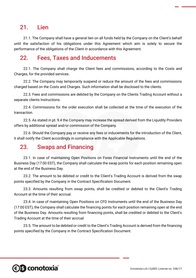### 21. Lien

21.1. The Company shall have a general lien on all funds held by the Company on the Client's behalf until the satisfaction of his obligations under this Agreement which aim is solely to secure the performance of the obligations of the Client in accordance with this Agreement.

#### 22. Fees, Taxes and Inducements

22.1. The Company shall charge the Client fees and commissions, according to the Costs and Charges, for the provided services.

22.2. The Company may temporarily suspend or reduce the amount of the fees and commissions charged based on the Costs and Charges. Such information shall be disclosed to the clients.

22.3. Fees and commissions are debited by the Company on the Clients Trading Account without a separate clients Instructions.

22.4. Commissions for the order execution shall be collected at the time of the execution of the transaction.

22.5. As stated in pt. 9.4 the Company may increase the spread derived from the Liquidity Providers offers by additional spread and/or commission of the Company.

22.6. Should the Company pay or receive any fees or inducements for the introduction of the Client, it shall notify the Client accordingly in compliance with the Applicable Regulations.

#### 23. Swaps and Financing

23.1. In case of maintaining Open Positions on Forex Financial Instruments until the end of the Business Day (17:00 EST), the Company shall calculate the swap points for each position remaining open at the end of the Business Day.

23.2. The amount to be debited or credit to the Client's Trading Account is derived from the swap points specified by the Company in the Contract Specification Document.

23.3. Amounts resulting from swap points, shall be credited or debited to the Client's Trading Account at the time of their accrual.

23.4. In case of maintaining Open Positions on CFD Instruments until the end of the Business Day (17:00 EST), the Company shall calculate the financing points for each position remaining open at the end of the Business Day. Amounts resulting from financing points, shall be credited or debited to the Client's Trading Account at the time of their accrual

23.5. The amount to be debited or credit to the Client's Trading Account is derived from the financing points specified by the Company in the Contract Specification Document.

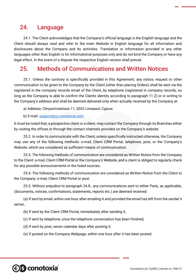### 24. Language

24.1. The Client acknowledges that the Company's official language is the English language and the Client should always read and refer to the main Website in English language for all information and disclosures about the Company and its activities. Translation or information provided in any other languages other than English is for informational purposes only and do not bind the Company or have any legal effect. In the event of a dispute the respective English version shall prevail.

### 25. Methods of Communications and Written Notices

25.1. Unless the contrary is specifically provided in this Agreement, any notice, request or other communication to be given to the Company by the Client (other than placing Orders) shall be sent via the registered in the company records email of the Client, by telephone (registered in company records, so long as the Company is able to confirm the Clients identity according to paragraph 11.2) or in writing to the Company's address and shall be deemed delivered only when actually received by the Company at:

a) Address: Chrysorroiatissis 11, 3032 Limassol, Cyprus

b) E-mail: [support@cy.conotoxia.com](mailto:support@cy.conotoxia.com)

It must be noted that, a prospective client or a client, may contact the Company through its Branches either by visiting the offices or through the contact channels provided on the Company's website.

25.2. In order to communicate with the Client, unless specifically instructed otherwise, the Company may use any of the following methods: e-mail, Client CRM Portal, telephone, post, or the Company's Website, which are considered as sufficient means of communication.

25.3. The following methods of communication are considered as Written Notice from the Company to the Client: e-mail, Client CRM Portal or the Company's Website, and a client is obliged to regularly check for any possible announcements in the listed sources.

25.4. The following methods of communication are considered as Written Notice from the Client to the Company: e-mail, Client CRM Portal or post.

25.5. Without prejudice to paragraph 24.8., any communications sent to either Party, as applicable, (documents, notices, confirmations, statements, reports etc.) are deemed received:

(a) If sent by email, within one hour after emailing it and provided the email has left from the sender's server,

- (b) If sent by the Client CRM Portal, immediately after sending it,
- (c) If sent by telephone, once the telephone conversation has been finished,
- (d) If sent by post, seven calendar days after posting it,
- (e) If posted on the Company Webpage, within one hour after it has been posted.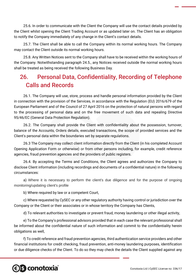25.6. In order to communicate with the Client the Company will use the contact details provided by the Client whilst opening the Client Trading Account or as updated later on. The Client has an obligation to notify the Company immediately of any change in the Client's contact details.

25.7. The Client shall be able to call the Company within its normal working hours. The Company may contact the Client outside its normal working hours.

25.8. Any Written Notices sent to the Company shall have to be received within the working hours of the Company. Notwithstanding paragraph 24.5., any Notices received outside the normal working hours shall be treated as being received the following Business Day.

# 26. Personal Data, Confidentiality, Recording of Telephone Calls and Records

26.1. The Company will use, store, process and handle personal information provided by the Client in connection with the provision of the Services, in accordance with the Regulation (EU) 2016/679 of the European Parliament and of the Council of 27 April 2016 on the protection of natural persons with regard to the processing of personal data and on the free movement of such data and repealing Directive 95/46/EC (General Data Protection Regulation).

26.2. The Company shall provide the Client with confidentiality about the possession, turnover, balance of the Accounts, Orders details, executed transactions, the scope of provided services and the Client's personal data within the boundaries set by separate regulations.

26.3 The Company may collect client information directly from the Client (in his completed Account Opening Application Form or otherwise) or from other persons including, for example, credit reference agencies, fraud prevention agencies and the providers of public registers.

26.4. By accepting the Terms and Conditions, the Client agrees and authorizes the Company to disclose Client information (including recordings and documents of a confidential nature) in the following circumstances:

a) Where it is necessary to perform the client's due diligence and for the purpose of ongoing monitoring/updating client's profile

b) Where required by law or a competent Court,

c) Where requested by CySEC or any other regulatory authority having control or jurisdiction over the Company or the Client or their associates or in whose territory the Company has Clients,

d) To relevant authorities to investigate or prevent fraud, money laundering or other illegal activity,

e) To the Company's professional advisors provided that in each case the relevant professional shall be informed about the confidential nature of such information and commit to the confidentiality herein obligations as well,

f) To credit reference and fraud prevention agencies, third authentication service providers and other financial institutions for credit checking, fraud prevention, anti-money laundering purposes, identification or due diligence checks of the Client. To do so they may check the details the Client supplied against any

# **e)s conotoxia**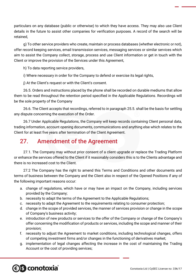particulars on any database (public or otherwise) to which they have access. They may also use Client details in the future to assist other companies for verification purposes. A record of the search will be retained,

g) To other service providers who create, maintain or process databases (whether electronic or not), offer record keeping services, email transmission services, messaging services or similar services which aim to assist the Company collect, storage, process and use Client information or get in touch with the Client or improve the provision of the Services under this Agreement,

h) To data reporting service providers,

i) Where necessary in order for the Company to defend or exercise its legal rights,

j) At the Client's request or with the Client's consent.

26.5. Orders and instructions placed by the phone shall be recorded on durable mediums that allow them to be read throughout the retention period specified in the Applicable Regulations. Recordings will be the sole property of the Company

26.6. The Client accepts that recordings, referred to in paragraph 25.5. shall be the basis for settling any dispute concerning the execution of the Order.

26.7 Under Applicable Regulations, the Company will keep records containing Client personal data, trading information, account opening documents, communications and anything else which relates to the Client for at least five years after termination of the Client Agreement.

## 27. Amendment of the Agreement

27.1. The Company may without prior consent of a client upgrade or replace the Trading Platform or enhance the services offered to the Client if it reasonably considers this is to the Clients advantage and there is no increased cost to the Client.

27.2 The Company has the right to amend this Terms and Conditions and other documents and terms of business between the Company and the Client also in respect of the Opened Positions if any of the following important reasons occur:

- a. change of regulations, which have or may have an impact on the Company, including services provided by the Company;
- b. necessity to adapt the terms of the Agreement to the Applicable Regulations;
- c. necessity to adapt the Agreement to the requirements relating to consumer protection;
- d. change in the scope of provided services, the manner of services provision or change in the scope of Company's business activity;
- e. introduction of new products or services to the offer of the Company or change of the Company's offer concerning the modification of products or services, including the scope and manner of their provision;
- f. necessity to adjust the Agreement to market conditions, including technological changes, offers of competing investment firms and/or changes in the functioning of derivatives market;
- g. implementation of legal changes affecting the increase in the cost of maintaining the Trading Account or the cost of providing services;

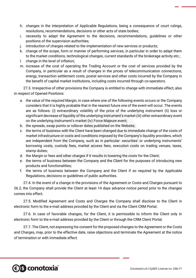- h. changes in the interpretation of Applicable Regulations, being a consequence of court rulings, resolutions, recommendations, decisions or other acts of state bodies;
- i. necessity to adapt the Agreement to the decisions, recommendations, guidelines or other positions of the supervision authorities;
- j. introduction of charges related to the implementation of new services or products;
- k. change of the scope, form or manner of performing services, in particular in order to adapt them to the market conditions, technological changes, current standards of the brokerage activity etc.;
- l. change in the level of inflation;
- m. increase of the cost of operating the Trading Account or the cost of services provided by the Company, in particular as a result of changes in the prices of telecommunication connections, energy, transaction settlement costs, postal services and other costs incurred by the Company in the benefit of capital market institutions, including costs incurred through co-operators.

27.3. Irrespective of other provisions the Company is entitled to change with immediate effect, also in respect of Opened Positions:

- a. the value of the required Margin, in case where one of the following events occurs or the Company considers that it is highly probable that in the nearest future one of the event will occur. The events are as follows: (i) extraordinary volatility of the price of the underlying instrument (ii) loss or significant decrease of liquidity of the underlying instrument's market (iii) other extraordinary event on the underlying instrument's market (iv) Force Majeure event;
- b. the spreads, swap points or rollover dates published on the Website;
- c. the terms of business with the Client have been changed due to immediate change of the costs of market infrastructure or costs and conditions imposed by the Company's liquidity providers, which are independent from the Company, such as in particular: securities' or underlying instruments' borrowing costs, custody fees, market access fees, execution costs on trading venues, taxes, stamp duties;
- d. the Margin or fees and other charges if it results in lowering the costs for the Client;
- e. the terms of business between the Company and the Client for the purposes of introducing new products and functionalities;
- f. the terms of business between the Company and the Client if so required by the Applicable Regulations, decisions or guidelines of public authorities.

27.4. In the event of a change in the provisions of the Agreement or Costs and Charges pursuant to 26.2, the Company shall provide the Client at least 14 days advance notice period prior to the changes comes into effect.

27.5. Modified Agreement and Costs and Charges the Company shall disclose to the Client in electronic form to the e-mail address provided by the Client and via the Client CRM Portal.

27.6. In case of favorable changes, for the Client, it is permissible to inform the Client only in electronic form to the e-mail address provided by the Client or through the CRM Client Portal.

27.7. The Client, not expressing his consent for the proposed changes to the Agreement or the Costs and Charges, may, prior to the effective date, raise objections and terminate the Agreement at the notice of termination or with immediate effect.

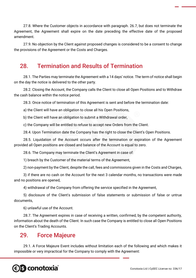27.8. Where the Customer objects in accordance with paragraph. 26.7, but does not terminate the Agreement, the Agreement shall expire on the date preceding the effective date of the proposed amendment.

27.9. No objection by the Client against proposed changes is considered to be a consent to change the provisions of the Agreement or the Costs and Charges.

#### 28. Termination and Results of Termination

28.1. The Parties may terminate the Agreement with a 14 days' notice. The term of notice shall begin on the day the notice is delivered to the other party.

28.2. Closing the Account, the Company calls the Client to close all Open Positions and to Withdraw the cash balance within the notice period.

28.3. Once notice of termination of this Agreement is sent and before the termination date:

a) the Client will have an obligation to close all his Open Positions,

b) the Client will have an obligation to submit a Withdrawal order,

c) the Company will be entitled to refuse to accept new Orders from the Client.

28.4. Upon Termination date the Company has the right to close the Client's Open Positions.

28.5. Liquidation of the Account occurs after the termination or expiration of the Agreement provided all Open positions are closed and balance of the Account is equal to zero.

28.6. The Company may terminate the Client's Agreement in case of:

1) breach by the Customer of the material terms of the Agreement,

2) non-payment by the Client, despite the call, fees and commissions given in the Costs and Charges,

3) if there are no cash on the Account for the next 3 calendar months, no transactions were made and no positions are opened,

4) withdrawal of the Company from offering the service specified in the Agreement,

5) disclosure of the Client's submission of false statements or submission of false or untrue documents,

6) unlawful use of the Account.

28.7. The Agreement expires in case of receiving a written, confirmed, by the competent authority, information about the death of the Client. In such case the Company is entitled to close all Open Positions on the Client's Trading Accounts.

#### 29. Force Majeure

29.1. A Force Majeure Event includes without limitation each of the following and which makes it impossible or very impractical for the Company to comply with the Agreement:

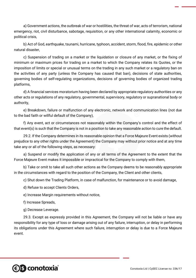a) Government actions, the outbreak of war or hostilities, the threat of war, acts of terrorism, national emergency, riot, civil disturbance, sabotage, requisition, or any other international calamity, economic or political crisis,

b) Act of God, earthquake, tsunami, hurricane, typhoon, accident, storm, flood, fire, epidemic or other natural disaster,

c) Suspension of trading on a market or the liquidation or closure of any market, or the fixing of minimum or maximum prices for trading on a market to which the Company relates its Quotes, or the imposition of limits or special or unusual terms on the trading in any such market or a regulatory ban on the activities of any party (unless the Company has caused that ban), decisions of state authorities, governing bodies of self-regulating organizations, decisions of governing bodies of organized trading platforms,

d) A financial services moratorium having been declared by appropriate regulatory authorities or any other acts or regulations of any regulatory, governmental, supervisory, regulatory or supranational body or authority,

e) Breakdown, failure or malfunction of any electronic, network and communication lines (not due to the bad faith or willful default of the Company),

f) Any event, act or circumstances not reasonably within the Company's control and the effect of that event(s) is such that the Company is not in a position to take any reasonable action to cure the default.

29.2. If the Company determines in its reasonable opinion that a Force Majeure Event exists (without prejudice to any other rights under the Agreement) the Company may without prior notice and at any time take any or all of the following steps, as necessary:

a) Suspend or modify the application of any or all terms of the Agreement to the extent that the Force Majeure Event makes it impossible or impractical for the Company to comply with them,

b) Take or omit to take all such other actions as the Company deems to be reasonably appropriate in the circumstances with regard to the position of the Company, the Client and other clients,

c) Shut down the Trading Platform, in case of malfunction, for maintenance or to avoid damage,

d) Refuse to accept Clients Orders,

e) Increase Margin requirements without notice,

f) Increase Spreads,

g) Decrease Leverage.

29.3. Except as expressly provided in this Agreement, the Company will not be liable or have any responsibility for any type of loss or damage arising out of any failure, interruption, or delay in performing its obligations under this Agreement where such failure, interruption or delay is due to a Force Majeure event.

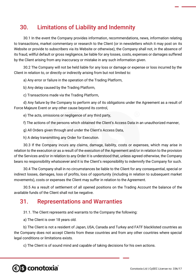# 30. Limitations of Liability and Indemnity

30.1 In the event the Company provides information, recommendations, news, information relating to transactions, market commentary or research to the Client (or in newsletters which it may post on its Website or provide to subscribers via its Website or otherwise), the Company shall not, in the absence of its fraud, willful default or gross negligence, be liable for any losses, costs, expenses or damages suffered by the Client arising from any inaccuracy or mistake in any such information given.

30.2 The Company will not be held liable for any loss or damage or expense or loss incurred by the Client in relation to, or directly or indirectly arising from but not limited to:

a) Any error or failure in the operation of the Trading Platform,

b) Any delay caused by the Trading Platform,

c) Transactions made via the Trading Platform,

d) Any failure by the Company to perform any of its obligations under the Agreement as a result of Force Majeure Event or any other cause beyond its control,

e) The acts, omissions or negligence of any third party,

f) The actions of the persons which obtained the Client's Access Data in an unauthorized manner,

g) All Orders given through and under the Client's Access Data,

h) A delay transmitting any Order for Execution.

30.3 If the Company incurs any claims, damage, liability, costs or expenses, which may arise in relation to the execution or as a result of the execution of the Agreement and/or in relation to the provision of the Services and/or in relation to any Order it is understood that, unless agreed otherwise, the Company bears no responsibility whatsoever and it is the Client's responsibility to indemnify the Company for such.

30.4 The Company shall in no circumstances be liable to the Client for any consequential, special or indirect losses, damages, loss of profits, loss of opportunity (including in relation to subsequent market movements), costs or expenses the Client may suffer in relation to the Agreement.

30.5 As a result of settlement of all opened positions on the Trading Account the balance of the available funds of the Client shall not be negative.

#### 31. Representations and Warranties

31.1. The Client represents and warrants to the Company the following:

a) The Client is over 18 years old.

b) The Client is not a resident of Japan, USA, Canada and Turkey and FATF blacklisted countries as the Company does not accept Clients from these countries and from any other countries where special legal conditions or limitations exists.

c) The Client is of sound mind and capable of taking decisions for his own actions.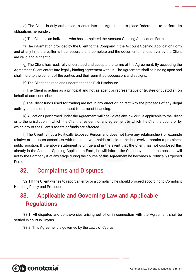d) The Client is duly authorized to enter into the Agreement, to place Orders and to perform its obligations hereunder.

e) The Client is an individual who has completed the Account Opening Application Form.

f) The information provided by the Client to the Company in the Account Opening Application Form and at any time thereafter is true, accurate and complete and the documents handed over by the Client are valid and authentic.

g) The Client has read, fully understood and accepts the terms of the Agreement. By accepting the Agreement, Client enters into legally binding agreement with us. The Agreement shall be binding upon and shall inure to the benefit of the parties and their permitted successors and assigns.

h) The Client has read and understands the Risk Disclosure.

i) The Client is acting as a principal and not as agent or representative or trustee or custodian on behalf of someone else.

j) The Client funds used for trading are not in any direct or indirect way the proceeds of any illegal activity or used or intended to be used for terrorist financing.

k) All actions performed under the Agreement will not violate any law or rule applicable to the Client or to the jurisdiction in which the Client is resident, or any agreement by which the Client is bound or by which any of the Client's assets or funds are affected.

l) The Client is not a Politically Exposed Person and does not have any relationship (for example relative or business associate) with a person who holds or held in the last twelve months a prominent public position. If the above statement is untrue and in the event that the Client has not disclosed this already in the Account Opening Application Form, he will inform the Company as soon as possible will notify the Company if at any stage during the course of this Agreement he becomes a Politically Exposed Person.

#### 32. Complaints and Disputes

32.1 If the Client wishes to report an error or a complaint, he should proceed according to Compliant Handling Policy and Procedure.

# 33. Applicable and Governing Law and Applicable **Regulations**

33.1. All disputes and controversies arising out of or in connection with the Agreement shall be settled in court in Cyprus.

33.2. This Agreement is governed by the Laws of Cyprus.

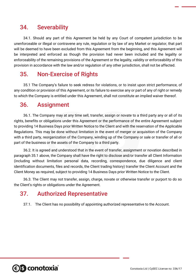### 34. Severability

34.1. Should any part of this Agreement be held by any Court of competent jurisdiction to be unenforceable or illegal or contravene any rule, regulation or by law of any Market or regulator, that part will be deemed to have been excluded from this Agreement from the beginning, and this Agreement will be interpreted and enforced as though the provision had never been included and the legality or enforceability of the remaining provisions of the Agreement or the legality, validity or enforceability of this provision in accordance with the law and/or regulation of any other jurisdiction, shall not be affected.

### 35. Non-Exercise of Rights

35.1 The Company's failure to seek redress for violations, or to insist upon strict performance, of any condition or provision of this Agreement, or its failure to exercise any or part of any of right or remedy to which the Company is entitled under this Agreement, shall not constitute an implied waiver thereof.

### 36. Assignment

36.1. The Company may at any time sell, transfer, assign or novate to a third party any or all of its rights, benefits or obligations under this Agreement or the performance of the entire Agreement subject to providing 14 Business Days prior Written Notice to the Client and with the reservation of the Applicable Regulations. This may be done without limitation in the event of merger or acquisition of the Company with a third party, reorganization of the Company, winding up of the Company or sale or transfer of all or part of the business or the assets of the Company to a third party.

36.2. It is agreed and understood that in the event of transfer, assignment or novation described in paragraph 35.1 above, the Company shall have the right to disclose and/or transfer all Client Information (including without limitation personal data, recording, correspondence, due diligence and client identification documents, files and records, the Client trading history) transfer the Client Account and the Client Money as required, subject to providing 14 Business Days prior Written Notice to the Client.

36.3. The Client may not transfer, assign, charge, novate or otherwise transfer or purport to do so the Client's rights or obligations under the Agreement.

### 37. Authorized Representative

37.1. The Client has no possibility of appointing authorized representative to the Account.

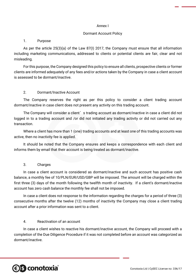#### Annex I

#### Dormant Account Policy

#### 1. Purpose

As per the article 25(3)(a) of the Law 87(I) 2017, the Company must ensure that all information including marketing communications, addressed to clients or potential clients are fair, clear and not misleading.

For this purpose, the Company designed this policy to ensure all clients, prospective clients or former clients are informed adequately of any fees and/or actions taken by the Company in case a client account is assessed to be dormant/inactive.

#### 2. Dormant/Inactive Account

The Company reserves the right as per this policy to consider a client trading account dormant/inactive in case client does not present any activity on this trading account.

The Company will consider a client's trading account as dormant/inactive in case a client did not logged in to a trading account and /or did not initiated any trading activity or did not carried out any transaction.

Where a client has more than 1 (one) trading accounts and at least one of this trading accounts was active, then no inactivity fee is applied.

It should be noted that the Company ensures and keeps a correspondence with each client and informs them by email that their account is being treated as dormant/inactive.

#### 3. Charges

In case a client account is considered as dormant/inactive and such account has positive cash balance, a monthly fee of 10/PLN/EUR/USD/GBP will be imposed. The amount will be charged within the first three (3) days of the month following the twelfth month of inactivity. If a client's dormant/inactive account has zero cash balance the monthly fee shall not be imposed.

In case a client does not response to the information regarding the charges for a period of three (3) consecutive months after the twelve (12) months of inactivity the Company may close a client trading account after a prior information was sent to a client.

#### 4. Reactivation of an account

In case a client wishes to reactive his dormant/inactive account, the Company will proceed with a completion of the Due Diligence Procedure if it was not completed before an account was categorized as dormant/inactive.

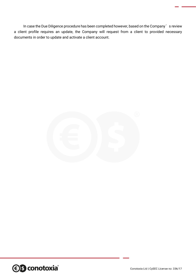In case the Due Diligence procedure has been completed however, based on the Company's review a client profile requires an update, the Company will request from a client to provided necessary documents in order to update and activate a client account.